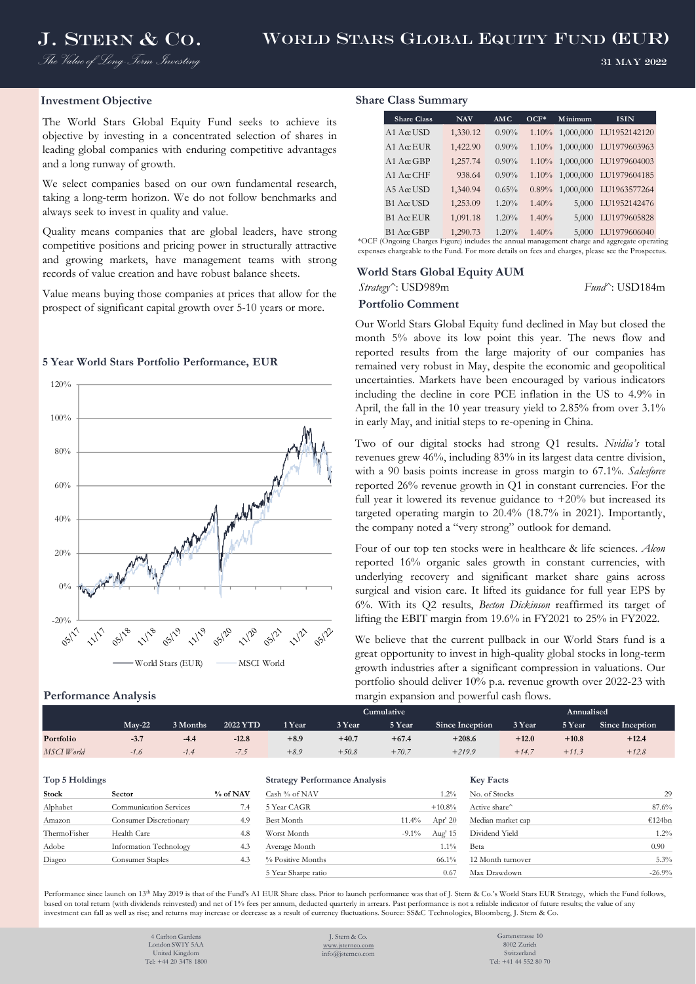*The Value of Long-Term Investing*

#### 31 May 2022

### **Investment Objective**

The World Stars Global Equity Fund seeks to achieve its objective by investing in a concentrated selection of shares in leading global companies with enduring competitive advantages and a long runway of growth.

We select companies based on our own fundamental research, taking a long-term horizon. We do not follow benchmarks and always seek to invest in quality and value.

Quality means companies that are global leaders, have strong competitive positions and pricing power in structurally attractive and growing markets, have management teams with strong records of value creation and have robust balance sheets.

Value means buying those companies at prices that allow for the prospect of significant capital growth over 5-10 years or more.

### **5 Year World Stars Portfolio Performance, EUR**



#### **Performance Analysis**

#### **Share Class Summary**

| <b>Share Class</b> | <b>NAV</b> | <b>AMC</b> | $OCF*$   | Minimum              | <b>ISIN</b>                  |
|--------------------|------------|------------|----------|----------------------|------------------------------|
| $A1$ Acc USD       | 1,330.12   | $0.90\%$   |          |                      | 1.10% 1,000,000 LU1952142120 |
| $A1$ Acc EUR       | 1,422.90   | $0.90\%$   |          | $1.10\%$ $1,000,000$ | LU1979603963                 |
| A1 A $\alpha$ GBP  | 1,257.74   | 0.90%      |          |                      | 1.10% 1,000,000 LU1979604003 |
| A1 A $\alpha$ CHE  | 938.64     | 0.90%      |          |                      | 1.10% 1,000,000 LU1979604185 |
| $A5$ Acc USD       | 1,340.94   | 0.65%      | $0.89\%$ |                      | 1,000,000 LU1963577264       |
| B1 AccUSD          | 1,253.09   | 1.20%      | 1.40%    | 5,000                | LU1952142476                 |
| $B1$ AccEUR        | 1,091.18   | 1.20%      | 1.40%    | 5,000                | LU1979605828                 |
| $B1$ AccGBP        | 1,290.73   | 1.20%      | 1.40%    | 5,000                | LU1979606040                 |

expenses chargeable to the Fund. For more details on fees and charges, please see the Prospectus.

### **World Stars Global Equity AUM**

*Strategy^*: USD989m *Fund^*: USD184m

## **Portfolio Comment**

Our World Stars Global Equity fund declined in May but closed the month 5% above its low point this year. The news flow and reported results from the large majority of our companies has remained very robust in May, despite the economic and geopolitical uncertainties. Markets have been encouraged by various indicators including the decline in core PCE inflation in the US to 4.9% in April, the fall in the 10 year treasury yield to 2.85% from over 3.1% in early May, and initial steps to re-opening in China.

Two of our digital stocks had strong Q1 results. *Nvidia's* total revenues grew 46%, including 83% in its largest data centre division, with a 90 basis points increase in gross margin to 67.1%. *Salesforce* reported 26% revenue growth in Q1 in constant currencies. For the full year it lowered its revenue guidance to  $+20\%$  but increased its targeted operating margin to 20.4% (18.7% in 2021). Importantly, the company noted a "very strong" outlook for demand.

Four of our top ten stocks were in healthcare & life sciences. *Alcon* reported 16% organic sales growth in constant currencies, with underlying recovery and significant market share gains across surgical and vision care. It lifted its guidance for full year EPS by 6%. With its Q2 results, *Becton Dickinson* reaffirmed its target of lifting the EBIT margin from 19.6% in FY2021 to 25% in FY2022.

We believe that the current pullback in our World Stars fund is a great opportunity to invest in high-quality global stocks in long-term growth industries after a significant compression in valuations. Our portfolio should deliver 10% p.a. revenue growth over 2022-23 with margin expansion and powerful cash flows.

|            |          |          |                 |        | Cumulative | Annualised |                 |         |         |                 |
|------------|----------|----------|-----------------|--------|------------|------------|-----------------|---------|---------|-----------------|
|            | $Mav-22$ | 3 Months | <b>2022 YTD</b> | 1 Year | 3 Year     | 5 Year     | Since Inception | 3 Year  | 5 Year  | Since Inception |
| Portfolio  | $-3.7$   | $-4.4$   | $-12.8$         | $+8.9$ | $+40.7$    | $+67.4$    | $+208.6$        | $+12.0$ | $+10.8$ | $+12.4$         |
| MSCI World | $-1.6$   | $-1.4$   | $-1.5$          | $+8.9$ | $+50.8$    | $+70.7$    | $+219.9$        | $+14.7$ | $+11.3$ | $+12.8$         |

| Stock        | <b>Sector</b>          | % of NAV | Cash % of NAV     |          | $1.2\%$   | No. of Stocks     |      |
|--------------|------------------------|----------|-------------------|----------|-----------|-------------------|------|
| Alphabet     | Communication Services | 7.4      | 5 Year CAGR       |          | $+10.8\%$ | Active share      | 87.6 |
| Amazon       | Consumer Discretionary | 4.9      | Best Month        | $11.4\%$ | Apr' $20$ | Median market cap | €124 |
| ThermoFisher | Health Care            | 4.8      | Worst Month       | $-9.1\%$ | Aug' 15   | Dividend Yield    | 1.2  |
| Adobe        | Information Technology | 4.3      | Average Month     |          | 1.1%      | Beta              | 0.90 |
| Diageo       | Consumer Staples       | 4.3      | % Positive Months |          | 66.1%     | 12 Month turnover | 5.3  |
|              |                        |          |                   |          |           |                   |      |

#### **Top 5 Holdings Strategy Performance Analysis Key Facts**

| Cash % of NAV       |          | $1.2\%$   |
|---------------------|----------|-----------|
| 5 Year CAGR         |          | $+10.8%$  |
| Best Month          | 11.4%    | Apr' $20$ |
| Worst Month         | $-9.1\%$ | Aug' 15   |
| Average Month       |          | $1.1\%$   |
| % Positive Months   |          | 66.1%     |
| 5 Year Sharpe ratio |          | 0.67      |

| Stock        | Sector                 | % of NAV | Cash % of NAV       | $1.2\%$               | No. of Stocks     | 29       |
|--------------|------------------------|----------|---------------------|-----------------------|-------------------|----------|
| Alphabet     | Communication Services | 7.4      | 5 Year CAGR         | $+10.8%$              | Active share      | 87.6%    |
| Amazon       | Consumer Discretionary | 4.9      | Best Month          | Apr' $20$<br>$11.4\%$ | Median market cap | €124bn   |
| ThermoFisher | Health Care            | 4.8      | Worst Month         | Aug' 15<br>$-9.1\%$   | Dividend Yield    | 1.2%     |
| Adobe        | Information Technology | 4.3      | Average Month       | 1.1%                  | Beta              | 0.90     |
| Diageo       | Consumer Staples       | 4.3      | % Positive Months   | $66.1\%$              | 12 Month turnover | 5.3%     |
|              |                        |          | 5 Year Sharpe ratio | 0.67                  | Max Drawdown      | $-26.9%$ |
|              |                        |          |                     |                       |                   |          |

Performance since launch on 13<sup>th</sup> May 2019 is that of the Fund's A1 EUR Share class. Prior to launch performance was that of J. Stern & Co.'s World Stars EUR Strategy, which the Fund follows, based on total return (with dividends reinvested) and net of 1% fees per annum, deducted quarterly in arrears. Past performance is not a reliable indicator of future results; the value of any investment can fall as well as rise; and returns may increase or decrease as a result of currency fluctuations. Source: SS&C Technologies, Bloomberg, J. Stern & Co.

> 4 Carlton Garden London SW1Y 5AA

United Kingdom Tel: +44 20 3478 1800

J. Stern & Co. [www.jsternco.com](http://www.jsternco.com/) info@jsternco.com

Gartenstrasse 10 8002 Zurich Switzerland Tel: +41 44 552 80 70